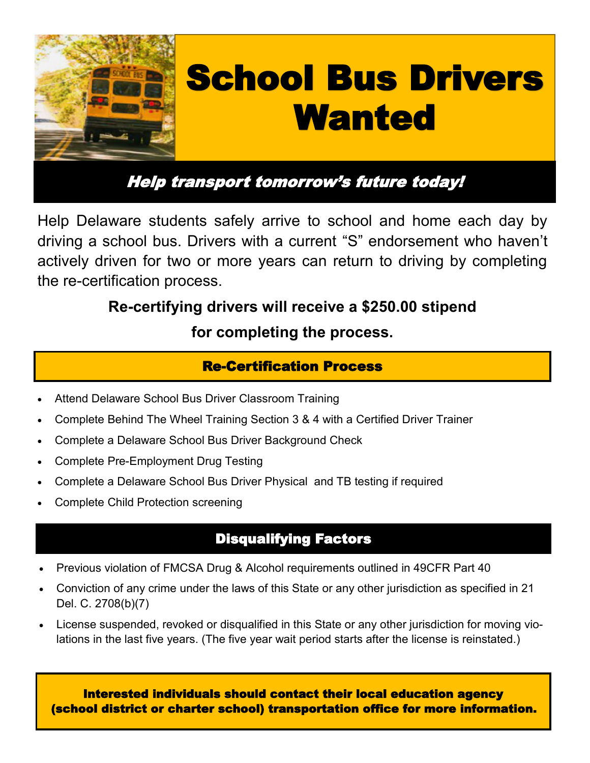

# Help transport tomorrow's future today!

Help Delaware students safely arrive to school and home each day by driving a school bus. Drivers with a current "S" endorsement who haven't actively driven for two or more years can return to driving by completing the re-certification process.

# **Re-certifying drivers will receive a \$250.00 stipend**

## **for completing the process.**

## Re-Certification Process

- Attend Delaware School Bus Driver Classroom Training
- Complete Behind The Wheel Training Section 3 & 4 with a Certified Driver Trainer
- Complete a Delaware School Bus Driver Background Check
- Complete Pre-Employment Drug Testing
- Complete a Delaware School Bus Driver Physical and TB testing if required
- Complete Child Protection screening

## Disqualifying Factors

- Previous violation of FMCSA Drug & Alcohol requirements outlined in 49CFR Part 40
- Conviction of any crime under the laws of this State or any other jurisdiction as specified in 21 Del. C. 2708(b)(7)
- License suspended, revoked or disqualified in this State or any other jurisdiction for moving violations in the last five years. (The five year wait period starts after the license is reinstated.)

Interested individuals should contact their local education agency (school district or charter school) transportation office for more information.